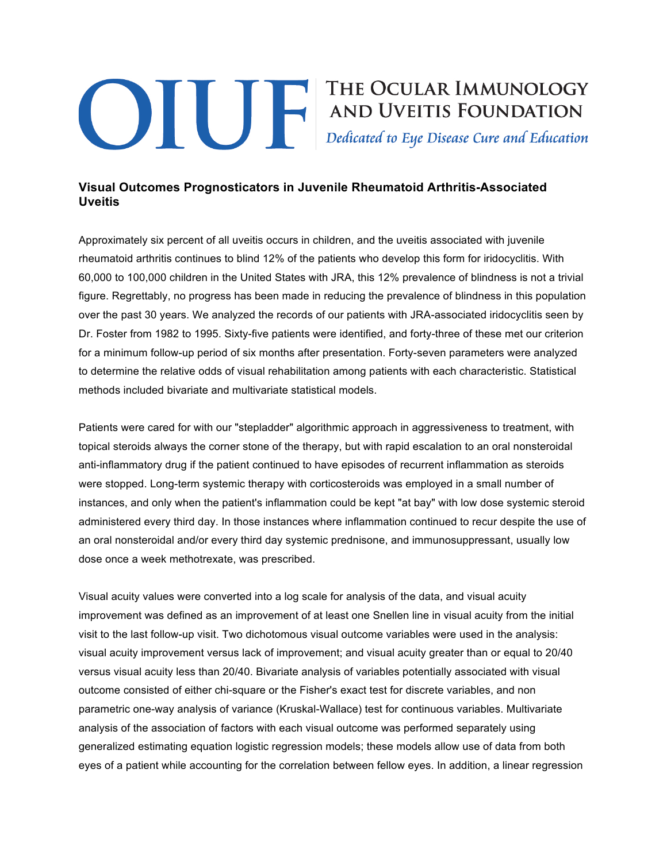## **Example 19 THE OCULAR IMMUNOLOGY<br>AND UVEITIS FOUNDATION**<br>Dedicated to Eye Disease Cure and Education

## **Visual Outcomes Prognosticators in Juvenile Rheumatoid Arthritis-Associated Uveitis**

Approximately six percent of all uveitis occurs in children, and the uveitis associated with juvenile rheumatoid arthritis continues to blind 12% of the patients who develop this form for iridocyclitis. With 60,000 to 100,000 children in the United States with JRA, this 12% prevalence of blindness is not a trivial figure. Regrettably, no progress has been made in reducing the prevalence of blindness in this population over the past 30 years. We analyzed the records of our patients with JRA-associated iridocyclitis seen by Dr. Foster from 1982 to 1995. Sixty-five patients were identified, and forty-three of these met our criterion for a minimum follow-up period of six months after presentation. Forty-seven parameters were analyzed to determine the relative odds of visual rehabilitation among patients with each characteristic. Statistical methods included bivariate and multivariate statistical models.

Patients were cared for with our "stepladder" algorithmic approach in aggressiveness to treatment, with topical steroids always the corner stone of the therapy, but with rapid escalation to an oral nonsteroidal anti-inflammatory drug if the patient continued to have episodes of recurrent inflammation as steroids were stopped. Long-term systemic therapy with corticosteroids was employed in a small number of instances, and only when the patient's inflammation could be kept "at bay" with low dose systemic steroid administered every third day. In those instances where inflammation continued to recur despite the use of an oral nonsteroidal and/or every third day systemic prednisone, and immunosuppressant, usually low dose once a week methotrexate, was prescribed.

Visual acuity values were converted into a log scale for analysis of the data, and visual acuity improvement was defined as an improvement of at least one Snellen line in visual acuity from the initial visit to the last follow-up visit. Two dichotomous visual outcome variables were used in the analysis: visual acuity improvement versus lack of improvement; and visual acuity greater than or equal to 20/40 versus visual acuity less than 20/40. Bivariate analysis of variables potentially associated with visual outcome consisted of either chi-square or the Fisher's exact test for discrete variables, and non parametric one-way analysis of variance (Kruskal-Wallace) test for continuous variables. Multivariate analysis of the association of factors with each visual outcome was performed separately using generalized estimating equation logistic regression models; these models allow use of data from both eyes of a patient while accounting for the correlation between fellow eyes. In addition, a linear regression